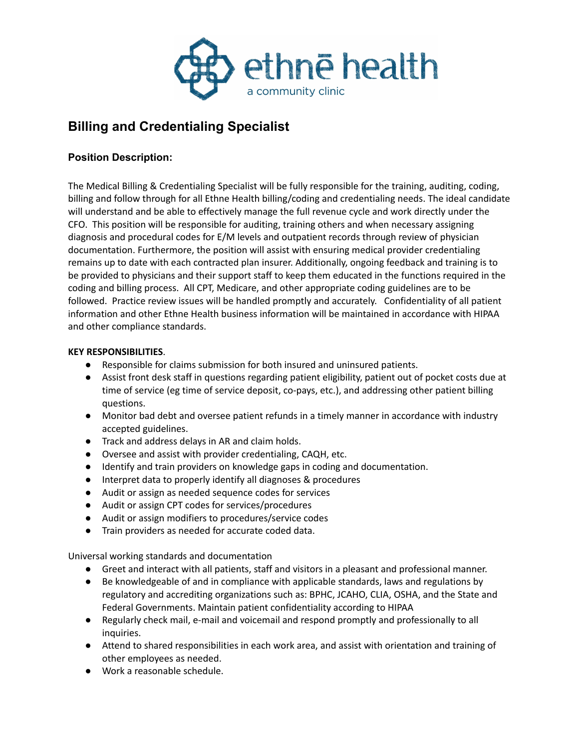

# **Billing and Credentialing Specialist**

## **Position Description:**

The Medical Billing & Credentialing Specialist will be fully responsible for the training, auditing, coding, billing and follow through for all Ethne Health billing/coding and credentialing needs. The ideal candidate will understand and be able to effectively manage the full revenue cycle and work directly under the CFO. This position will be responsible for auditing, training others and when necessary assigning diagnosis and procedural codes for E/M levels and outpatient records through review of physician documentation. Furthermore, the position will assist with ensuring medical provider credentialing remains up to date with each contracted plan insurer. Additionally, ongoing feedback and training is to be provided to physicians and their support staff to keep them educated in the functions required in the coding and billing process. All CPT, Medicare, and other appropriate coding guidelines are to be followed. Practice review issues will be handled promptly and accurately. Confidentiality of all patient information and other Ethne Health business information will be maintained in accordance with HIPAA and other compliance standards.

### **KEY RESPONSIBILITIES**.

- Responsible for claims submission for both insured and uninsured patients.
- Assist front desk staff in questions regarding patient eligibility, patient out of pocket costs due at time of service (eg time of service deposit, co-pays, etc.), and addressing other patient billing questions.
- Monitor bad debt and oversee patient refunds in a timely manner in accordance with industry accepted guidelines.
- Track and address delays in AR and claim holds.
- Oversee and assist with provider credentialing, CAQH, etc.
- Identify and train providers on knowledge gaps in coding and documentation.
- Interpret data to properly identify all diagnoses & procedures
- Audit or assign as needed sequence codes for services
- Audit or assign CPT codes for services/procedures
- Audit or assign modifiers to procedures/service codes
- Train providers as needed for accurate coded data.

Universal working standards and documentation

- Greet and interact with all patients, staff and visitors in a pleasant and professional manner.
- Be knowledgeable of and in compliance with applicable standards, laws and regulations by regulatory and accrediting organizations such as: BPHC, JCAHO, CLIA, OSHA, and the State and Federal Governments. Maintain patient confidentiality according to HIPAA
- Regularly check mail, e-mail and voicemail and respond promptly and professionally to all inquiries.
- Attend to shared responsibilities in each work area, and assist with orientation and training of other employees as needed.
- Work a reasonable schedule.